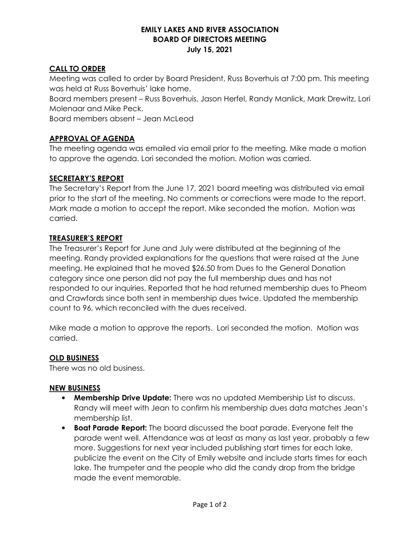#### **EMILY LAKES AND RIVER ASSOCIATION BOARD OF DIRECTORS MEETING July 15, 2021**

### **CALL TO ORDER**

Meeting was called to order by Board President, Russ Boverhuis at 7:00 pm. This meeting was held at Russ Boverhuis' lake home.

Board members present – Russ Boverhuis, Jason Herfel, Randy Manlick, Mark Drewitz, Lori Molenaar and Mike Peck.

Board members absent – Jean McLeod

### **APPROVAL OF AGENDA**

The meeting agenda was emailed via email prior to the meeting. Mike made a motion to approve the agenda. Lori seconded the motion. Motion was carried.

## **SECRETARY'S REPORT**

The Secretary's Report from the June 17, 2021 board meeting was distributed via email prior to the start of the meeting. No comments or corrections were made to the report. Mark made a motion to accept the report. Mike seconded the motion. Motion was carried.

### **TREASURER'S REPORT**

The Treasurer's Report for June and July were distributed at the beginning of the meeting. Randy provided explanations for the questions that were raised at the June meeting. He explained that he moved \$26.50 from Dues to the General Donation category since one person did not pay the full membership dues and has not responded to our inquiries. Reported that he had returned membership dues to Pheom and Crawfords since both sent in membership dues twice. Updated the membership count to 96, which reconciled with the dues received.

Mike made a motion to approve the reports. Lori seconded the motion. Motion was carried.

### **OLD BUSINESS**

There was no old business.

### **NEW BUSINESS**

- **Membership Drive Update:** There was no updated Membership List to discuss. Randy will meet with Jean to confirm his membership dues data matches Jean's membership list.
- **Boat Parade Report:** The board discussed the boat parade. Everyone felt the parade went well. Attendance was at least as many as last year, probably a few more. Suggestions for next year included publishing start times for each lake, publicize the event on the City of Emily website and include starts times for each lake. The trumpeter and the people who did the candy drop from the bridge made the event memorable.